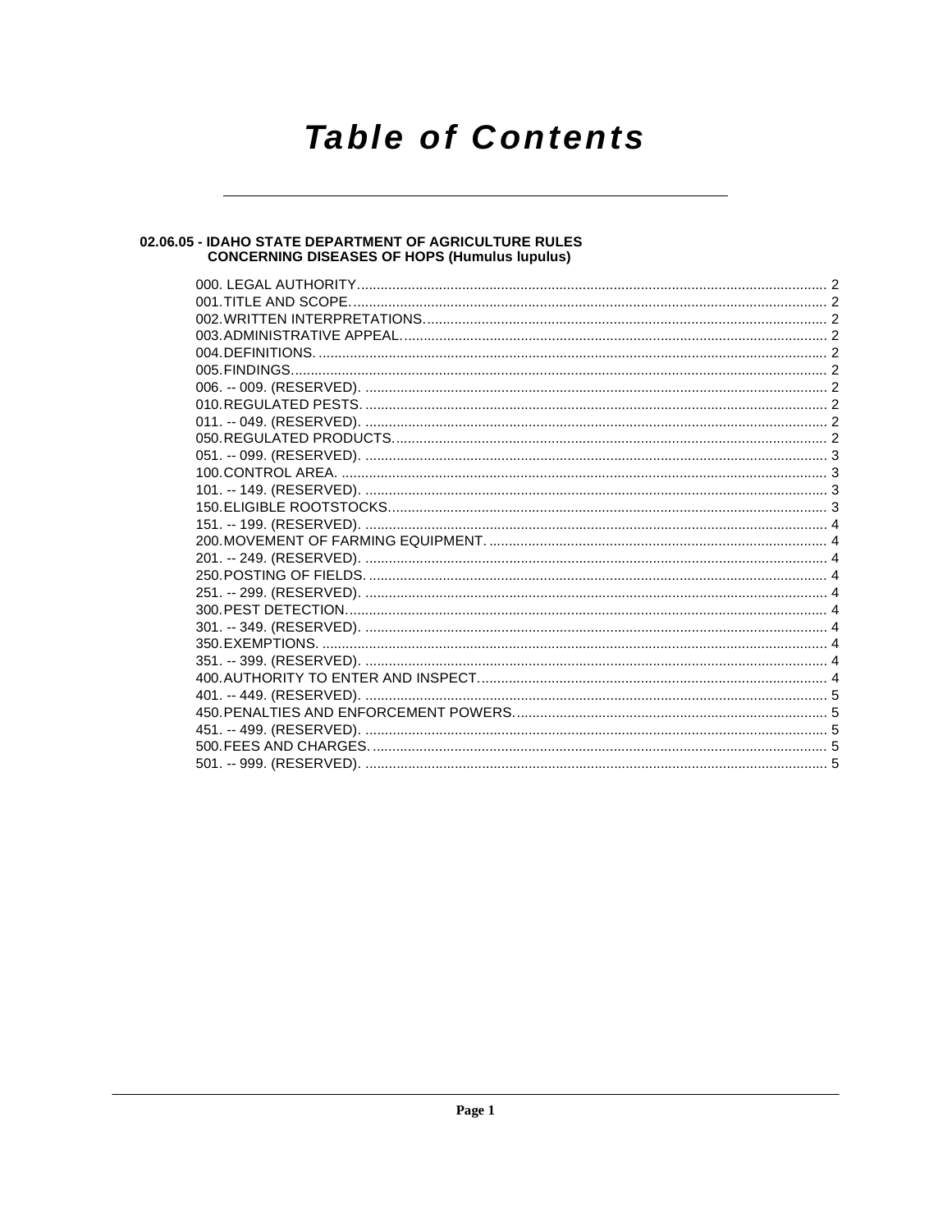# **Table of Contents**

## 02.06.05 - IDAHO STATE DEPARTMENT OF AGRICULTURE RULES<br>CONCERNING DISEASES OF HOPS (Humulus lupulus)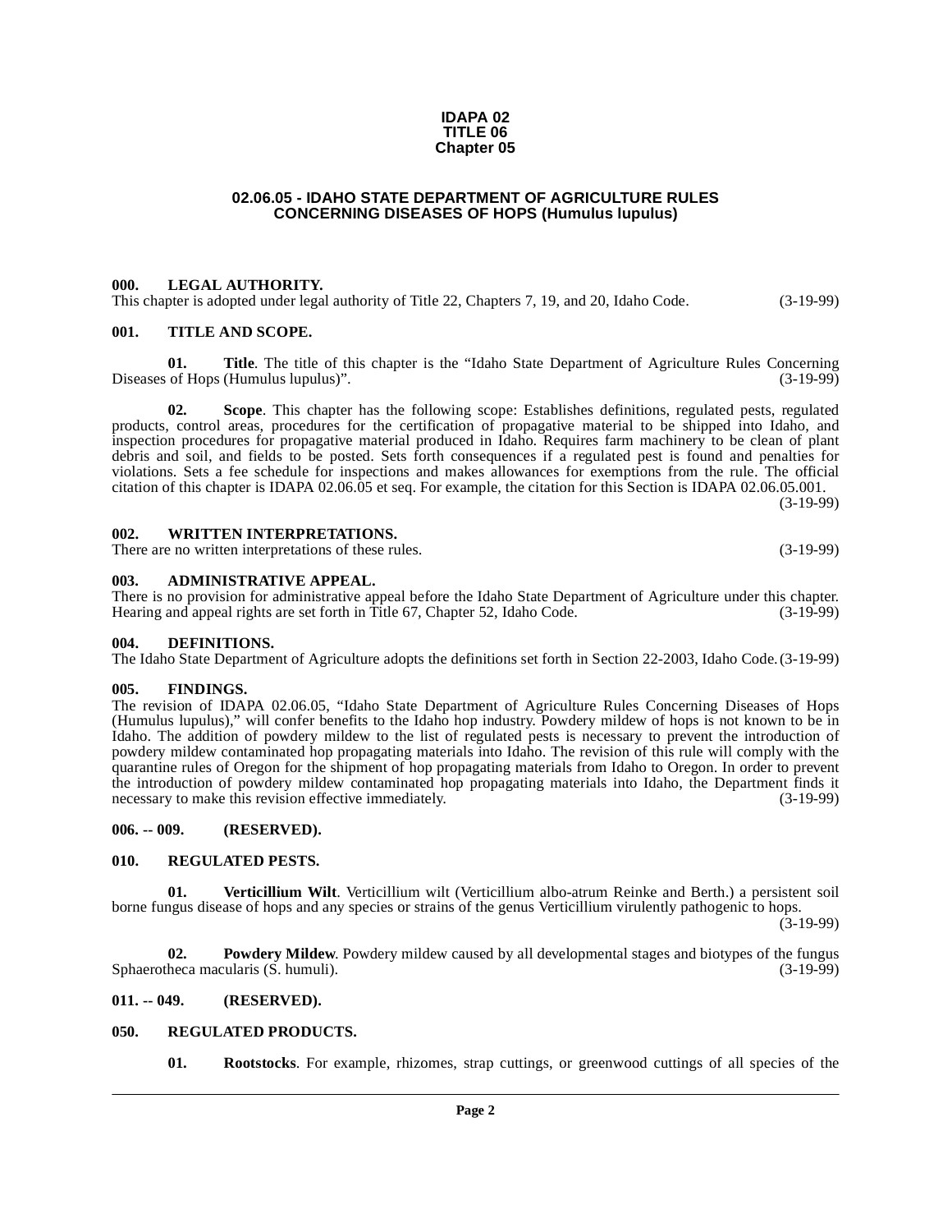## **IDAPA 02 TITLE 06 Chapter 05**

## **02.06.05 - IDAHO STATE DEPARTMENT OF AGRICULTURE RULES CONCERNING DISEASES OF HOPS (Humulus lupulus)**

## <span id="page-1-1"></span><span id="page-1-0"></span>**000. LEGAL AUTHORITY.**

This chapter is adopted under legal authority of Title 22, Chapters 7, 19, and 20, Idaho Code. (3-19-99)

## <span id="page-1-2"></span>**001. TITLE AND SCOPE.**

**01.** Title. The title of this chapter is the "Idaho State Department of Agriculture Rules Concerning of Hops (Humulus lupulus)". (3-19-99) Diseases of Hops (Humulus lupulus)".

**02. Scope**. This chapter has the following scope: Establishes definitions, regulated pests, regulated products, control areas, procedures for the certification of propagative material to be shipped into Idaho, and inspection procedures for propagative material produced in Idaho. Requires farm machinery to be clean of plant debris and soil, and fields to be posted. Sets forth consequences if a regulated pest is found and penalties for violations. Sets a fee schedule for inspections and makes allowances for exemptions from the rule. The official citation of this chapter is IDAPA 02.06.05 et seq. For example, the citation for this Section is IDAPA 02.06.05.001.

(3-19-99)

## <span id="page-1-3"></span>**002. WRITTEN INTERPRETATIONS.**

There are no written interpretations of these rules. (3-19-99)

## <span id="page-1-4"></span>**003. ADMINISTRATIVE APPEAL.**

There is no provision for administrative appeal before the Idaho State Department of Agriculture under this chapter. Hearing and appeal rights are set forth in Title 67, Chapter 52, Idaho Code. (3-19-99)

## <span id="page-1-11"></span><span id="page-1-5"></span>**004. DEFINITIONS.**

The Idaho State Department of Agriculture adopts the definitions set forth in Section 22-2003, Idaho Code.(3-19-99)

## <span id="page-1-12"></span><span id="page-1-6"></span>**005. FINDINGS.**

The revision of IDAPA 02.06.05, "Idaho State Department of Agriculture Rules Concerning Diseases of Hops (Humulus lupulus)," will confer benefits to the Idaho hop industry. Powdery mildew of hops is not known to be in Idaho. The addition of powdery mildew to the list of regulated pests is necessary to prevent the introduction of powdery mildew contaminated hop propagating materials into Idaho. The revision of this rule will comply with the quarantine rules of Oregon for the shipment of hop propagating materials from Idaho to Oregon. In order to prevent the introduction of powdery mildew contaminated hop propagating materials into Idaho, the Department finds it necessary to make this revision effective immediately. (3-19-99)

## <span id="page-1-7"></span>**006. -- 009. (RESERVED).**

## <span id="page-1-14"></span><span id="page-1-8"></span>**010. REGULATED PESTS.**

<span id="page-1-17"></span>**01. Verticillium Wilt**. Verticillium wilt (Verticillium albo-atrum Reinke and Berth.) a persistent soil borne fungus disease of hops and any species or strains of the genus Verticillium virulently pathogenic to hops.

(3-19-99)

<span id="page-1-13"></span>**02. Powdery Mildew**. Powdery mildew caused by all developmental stages and biotypes of the fungus Sphaerotheca macularis (S. humuli). (3-19-99)

## <span id="page-1-9"></span>**011. -- 049. (RESERVED).**

## <span id="page-1-10"></span>**050. REGULATED PRODUCTS.**

<span id="page-1-16"></span><span id="page-1-15"></span>**01. Rootstocks**. For example, rhizomes, strap cuttings, or greenwood cuttings of all species of the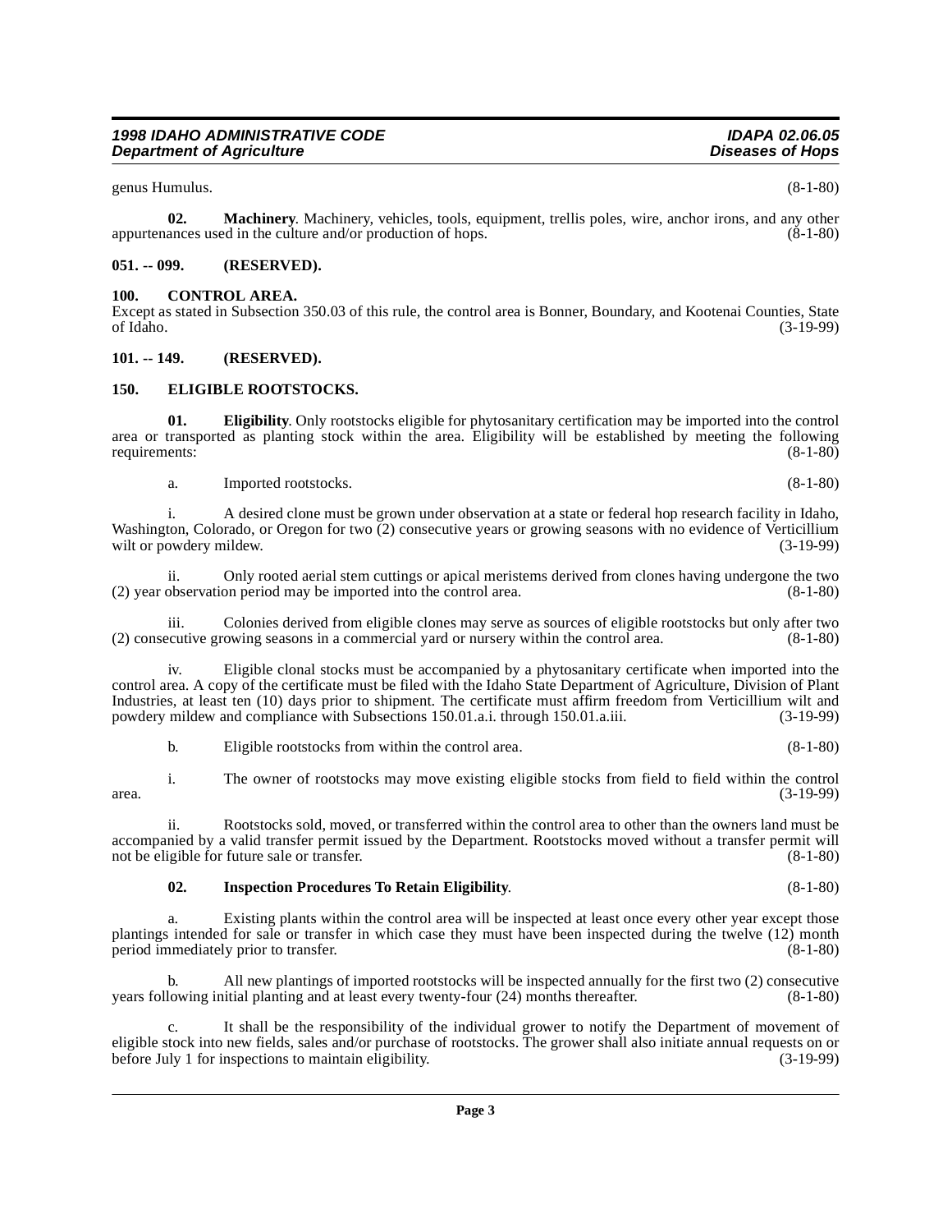genus Humulus. (8-1-80)

<span id="page-2-7"></span>**02. Machinery**. Machinery, vehicles, tools, equipment, trellis poles, wire, anchor irons, and any other appurtenances used in the culture and/or production of hops. (8-1-80)

## <span id="page-2-0"></span>**051. -- 099. (RESERVED).**

## <span id="page-2-4"></span><span id="page-2-1"></span>**100. CONTROL AREA.**

Except as stated in Subsection 350.03 of this rule, the control area is Bonner, Boundary, and Kootenai Counties, State of Idaho. (3-19-99)

## <span id="page-2-2"></span>**101. -- 149. (RESERVED).**

## <span id="page-2-5"></span><span id="page-2-3"></span>**150. ELIGIBLE ROOTSTOCKS.**

**01. Eligibility**. Only rootstocks eligible for phytosanitary certification may be imported into the control area or transported as planting stock within the area. Eligibility will be established by meeting the following requirements: (8-1-80) requirements:

a. Imported rootstocks. (8-1-80)

i. A desired clone must be grown under observation at a state or federal hop research facility in Idaho, Washington, Colorado, or Oregon for two  $\overline{2}$ ) consecutive years or growing seasons with no evidence of Verticillium wilt or powdery mildew. (3-19-99) wilt or powdery mildew.

ii. Only rooted aerial stem cuttings or apical meristems derived from clones having undergone the two observation period may be imported into the control area. (8-1-80)  $(2)$  year observation period may be imported into the control area.

iii. Colonies derived from eligible clones may serve as sources of eligible rootstocks but only after two  $(2)$  consecutive growing seasons in a commercial yard or nursery within the control area.

iv. Eligible clonal stocks must be accompanied by a phytosanitary certificate when imported into the control area. A copy of the certificate must be filed with the Idaho State Department of Agriculture, Division of Plant Industries, at least ten (10) days prior to shipment. The certificate must affirm freedom from Verticillium wilt and powdery mildew and compliance with Subsections 150.01.a.i. through 150.01.a.iii. (3-19-99) powdery mildew and compliance with Subsections 150.01.a.i. through 150.01.a.iii.

b. Eligible rootstocks from within the control area. (8-1-80)

i. The owner of rootstocks may move existing eligible stocks from field to field within the control area. (3-19-99)

ii. Rootstocks sold, moved, or transferred within the control area to other than the owners land must be accompanied by a valid transfer permit issued by the Department. Rootstocks moved without a transfer permit will not be eligible for future sale or transfer.

## <span id="page-2-6"></span>**02. Inspection Procedures To Retain Eligibility**. (8-1-80)

Existing plants within the control area will be inspected at least once every other year except those plantings intended for sale or transfer in which case they must have been inspected during the twelve (12) month period immediately prior to transfer. (8-1-80) period immediately prior to transfer.

b. All new plantings of imported rootstocks will be inspected annually for the first two (2) consecutive years following initial planting and at least every twenty-four (24) months thereafter. (8-1-80)

c. It shall be the responsibility of the individual grower to notify the Department of movement of eligible stock into new fields, sales and/or purchase of rootstocks. The grower shall also initiate annual requests on or before July 1 for inspections to maintain eligibility. (3-19-99) before July 1 for inspections to maintain eligibility.

**Page 3**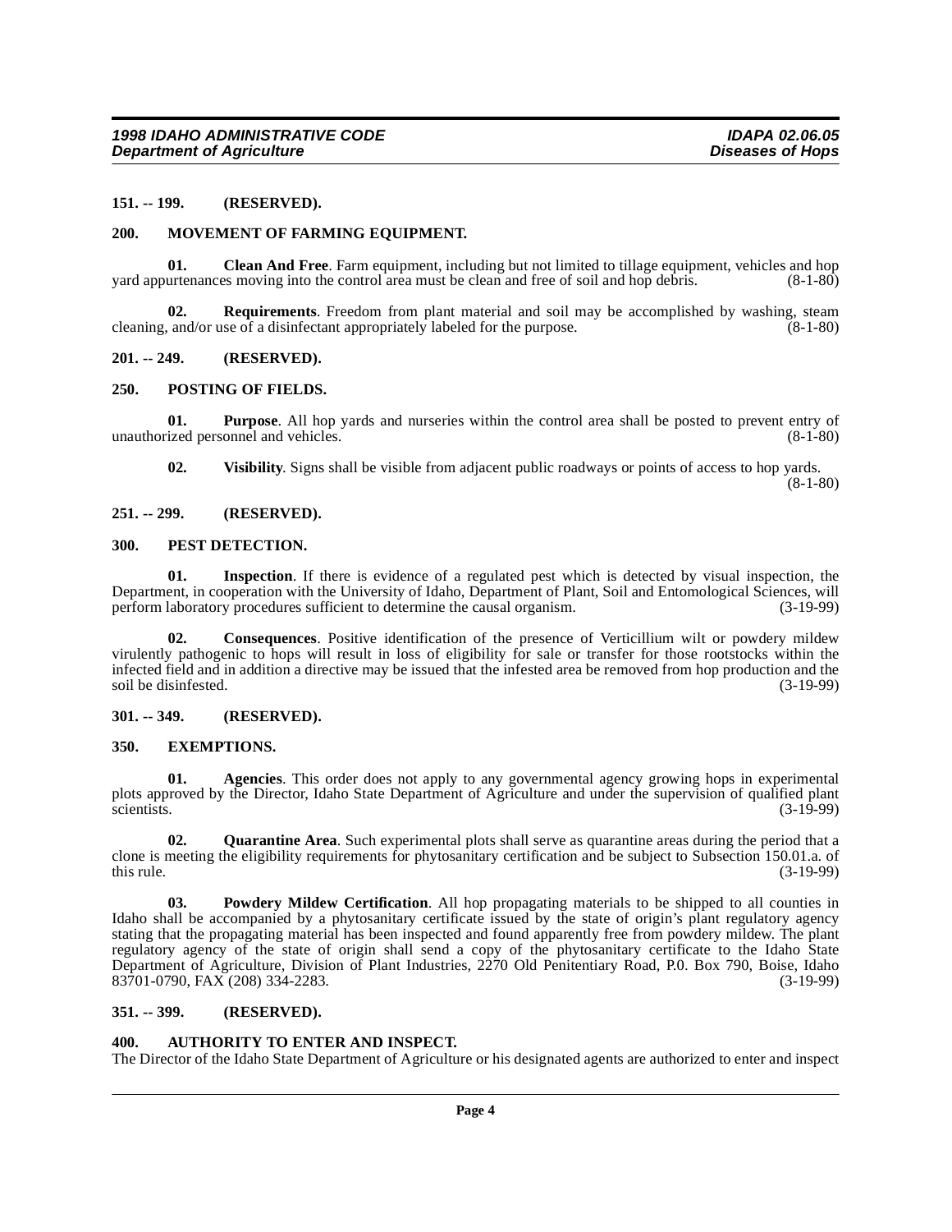#### <span id="page-3-0"></span>**151. -- 199. (RESERVED).**

#### <span id="page-3-12"></span><span id="page-3-1"></span>**200. MOVEMENT OF FARMING EQUIPMENT.**

**01.** Clean And Free. Farm equipment, including but not limited to tillage equipment, vehicles and hop urtenances moving into the control area must be clean and free of soil and hop debris. (8-1-80) yard appurtenances moving into the control area must be clean and free of soil and hop debris.

**02. Requirements**. Freedom from plant material and soil may be accomplished by washing, steam cleaning, and/or use of a disinfectant appropriately labeled for the purpose. (8-1-80)

#### <span id="page-3-2"></span>**201. -- 249. (RESERVED).**

#### <span id="page-3-14"></span><span id="page-3-3"></span>**250. POSTING OF FIELDS.**

**01. Purpose**. All hop yards and nurseries within the control area shall be posted to prevent entry of ized personnel and vehicles. (8-1-80) unauthorized personnel and vehicles.

**02. Visibility**. Signs shall be visible from adjacent public roadways or points of access to hop yards.  $(8-1-80)$ 

## <span id="page-3-4"></span>**251. -- 299. (RESERVED).**

#### <span id="page-3-13"></span><span id="page-3-5"></span>**300. PEST DETECTION.**

**01. Inspection**. If there is evidence of a regulated pest which is detected by visual inspection, the Department, in cooperation with the University of Idaho, Department of Plant, Soil and Entomological Sciences, will perform laboratory procedures sufficient to determine the causal organism.

**02. Consequences**. Positive identification of the presence of Verticillium wilt or powdery mildew virulently pathogenic to hops will result in loss of eligibility for sale or transfer for those rootstocks within the infected field and in addition a directive may be issued that the infested area be removed from hop production and the soil be disinfested.

#### <span id="page-3-6"></span>**301. -- 349. (RESERVED).**

#### <span id="page-3-11"></span><span id="page-3-7"></span>**350. EXEMPTIONS.**

**01. Agencies**. This order does not apply to any governmental agency growing hops in experimental plots approved by the Director, Idaho State Department of Agriculture and under the supervision of qualified plant scientists. (3-19-99)

<span id="page-3-16"></span>**02. Quarantine Area**. Such experimental plots shall serve as quarantine areas during the period that a clone is meeting the eligibility requirements for phytosanitary certification and be subject to Subsection 150.01.a. of this rule. (3-19-99) this rule.  $(3-19-99)$ 

<span id="page-3-15"></span>**03. Powdery Mildew Certification**. All hop propagating materials to be shipped to all counties in Idaho shall be accompanied by a phytosanitary certificate issued by the state of origin's plant regulatory agency stating that the propagating material has been inspected and found apparently free from powdery mildew. The plant regulatory agency of the state of origin shall send a copy of the phytosanitary certificate to the Idaho State Department of Agriculture, Division of Plant Industries, 2270 Old Penitentiary Road, P.0. Box 790, Boise, Idaho 83701-0790, FAX (208) 334-2283. (3-19-99)

#### <span id="page-3-8"></span>**351. -- 399. (RESERVED).**

#### <span id="page-3-10"></span><span id="page-3-9"></span>**400. AUTHORITY TO ENTER AND INSPECT.**

The Director of the Idaho State Department of Agriculture or his designated agents are authorized to enter and inspect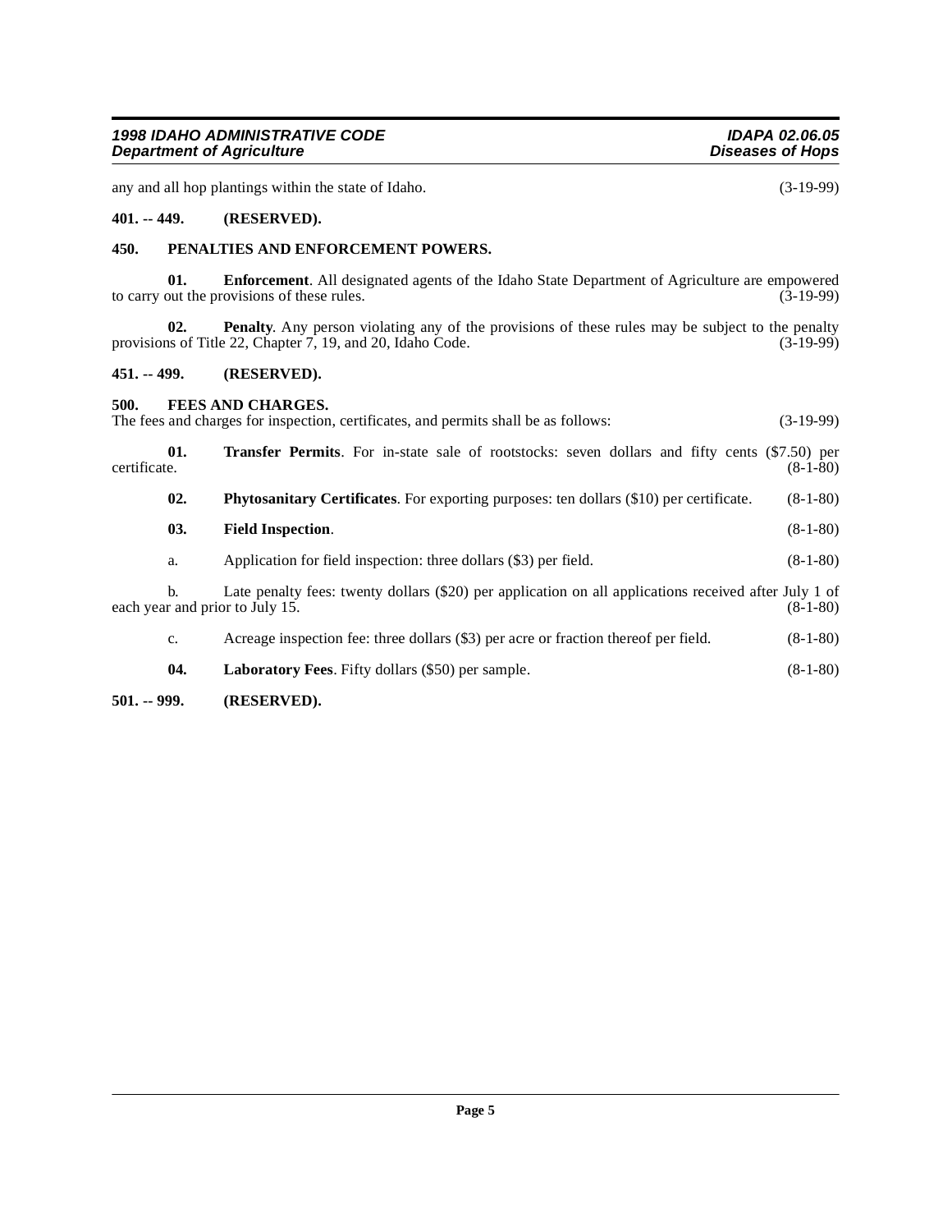<span id="page-4-10"></span><span id="page-4-9"></span><span id="page-4-5"></span><span id="page-4-3"></span>

| 500.         |     | FEES AND CHARGES.<br>The fees and charges for inspection, certificates, and permits shall be as follows: | $(3-19-99)$ |
|--------------|-----|----------------------------------------------------------------------------------------------------------|-------------|
| certificate. | 01. | <b>Transfer Permits.</b> For in-state sale of rootstocks: seven dollars and fifty cents (\$7.50) per     | $(8-1-80)$  |
|              | 02. | <b>Phytosanitary Certificates.</b> For exporting purposes: ten dollars (\$10) per certificate.           | $(8-1-80)$  |
|              | 03. | <b>Field Inspection.</b>                                                                                 | $(8-1-80)$  |
|              | a.  | Application for field inspection: three dollars (\$3) per field.                                         | $(8-1-80)$  |

<span id="page-4-6"></span>b. Late penalty fees: twenty dollars (\$20) per application on all applications received after July 1 of r and prior to July 15. (8-1-80) each year and prior to July 15.

- <span id="page-4-7"></span>c. Acreage inspection fee: three dollars (\$3) per acre or fraction thereof per field. (8-1-80)
- **04. Laboratory Fees**. Fifty dollars (\$50) per sample. (8-1-80)

## <span id="page-4-4"></span>**501. -- 999. (RESERVED).**

**1998 IDAHO ADMINISTRATIVE CODE IDAPA 02.06.05 Department of Agriculture** 

any and all hop plantings within the state of Idaho. (3-19-99)

## <span id="page-4-0"></span>**401. -- 449. (RESERVED).**

## <span id="page-4-8"></span><span id="page-4-1"></span>**450. PENALTIES AND ENFORCEMENT POWERS.**

**01. Enforcement**. All designated agents of the Idaho State Department of Agriculture are empowered out the provisions of these rules. (3-19-99) to carry out the provisions of these rules.

**02. Penalty**. Any person violating any of the provisions of these rules may be subject to the penalty is of Title 22, Chapter 7, 19, and 20, Idaho Code. (3-19-99) provisions of Title 22, Chapter  $7, 19,$  and 20, Idaho Code.

## <span id="page-4-2"></span>**451. -- 499. (RESERVED).**